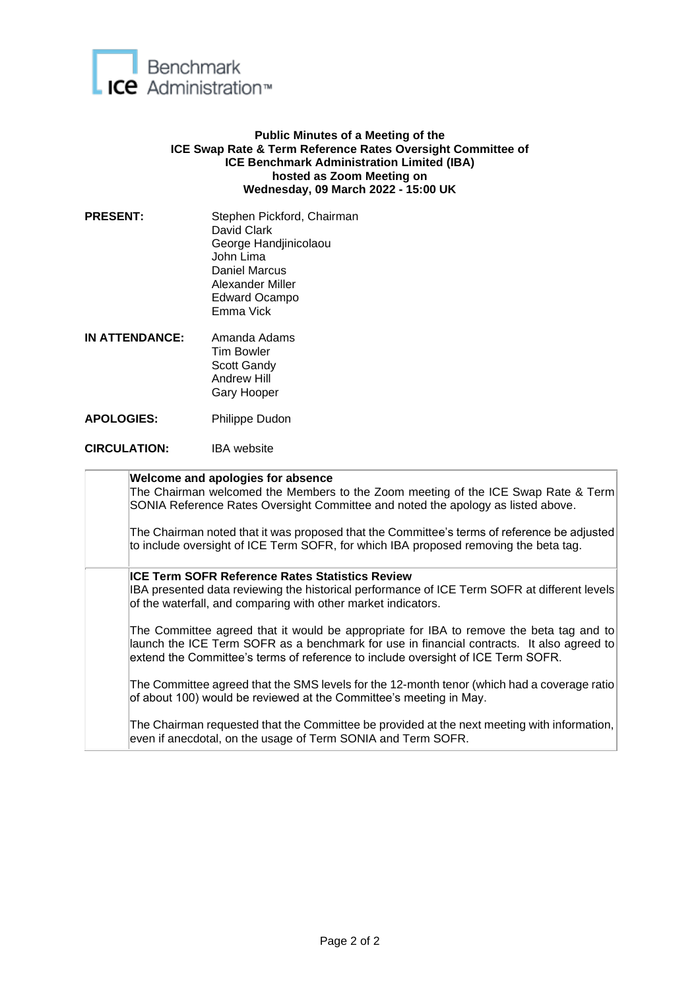

## **Public Minutes of a Meeting of the ICE Swap Rate & Term Reference Rates Oversight Committee of ICE Benchmark Administration Limited (IBA) hosted as Zoom Meeting on Wednesday, 09 March 2022 - 15:00 UK**

- PRESENT: Stephen Pickford, Chairman David Clark George Handjinicolaou John Lima Daniel Marcus Alexander Miller Edward Ocampo Emma Vick
- **IN ATTENDANCE:** Amanda Adams Tim Bowler Scott Gandy Andrew Hill Gary Hooper
- **APOLOGIES:** Philippe Dudon
- **CIRCULATION:** IBA website

| Welcome and apologies for absence<br>The Chairman welcomed the Members to the Zoom meeting of the ICE Swap Rate & Term<br>SONIA Reference Rates Oversight Committee and noted the apology as listed above.                                                               |
|--------------------------------------------------------------------------------------------------------------------------------------------------------------------------------------------------------------------------------------------------------------------------|
| The Chairman noted that it was proposed that the Committee's terms of reference be adjusted<br>to include oversight of ICE Term SOFR, for which IBA proposed removing the beta tag.                                                                                      |
| ICE Term SOFR Reference Rates Statistics Review<br>IBA presented data reviewing the historical performance of ICE Term SOFR at different levels<br>of the waterfall, and comparing with other market indicators.                                                         |
| The Committee agreed that it would be appropriate for IBA to remove the beta tag and to<br>launch the ICE Term SOFR as a benchmark for use in financial contracts. It also agreed to<br>extend the Committee's terms of reference to include oversight of ICE Term SOFR. |
| The Committee agreed that the SMS levels for the 12-month tenor (which had a coverage ratio<br>of about 100) would be reviewed at the Committee's meeting in May.                                                                                                        |
| The Chairman requested that the Committee be provided at the next meeting with information,<br>even if anecdotal, on the usage of Term SONIA and Term SOFR.                                                                                                              |